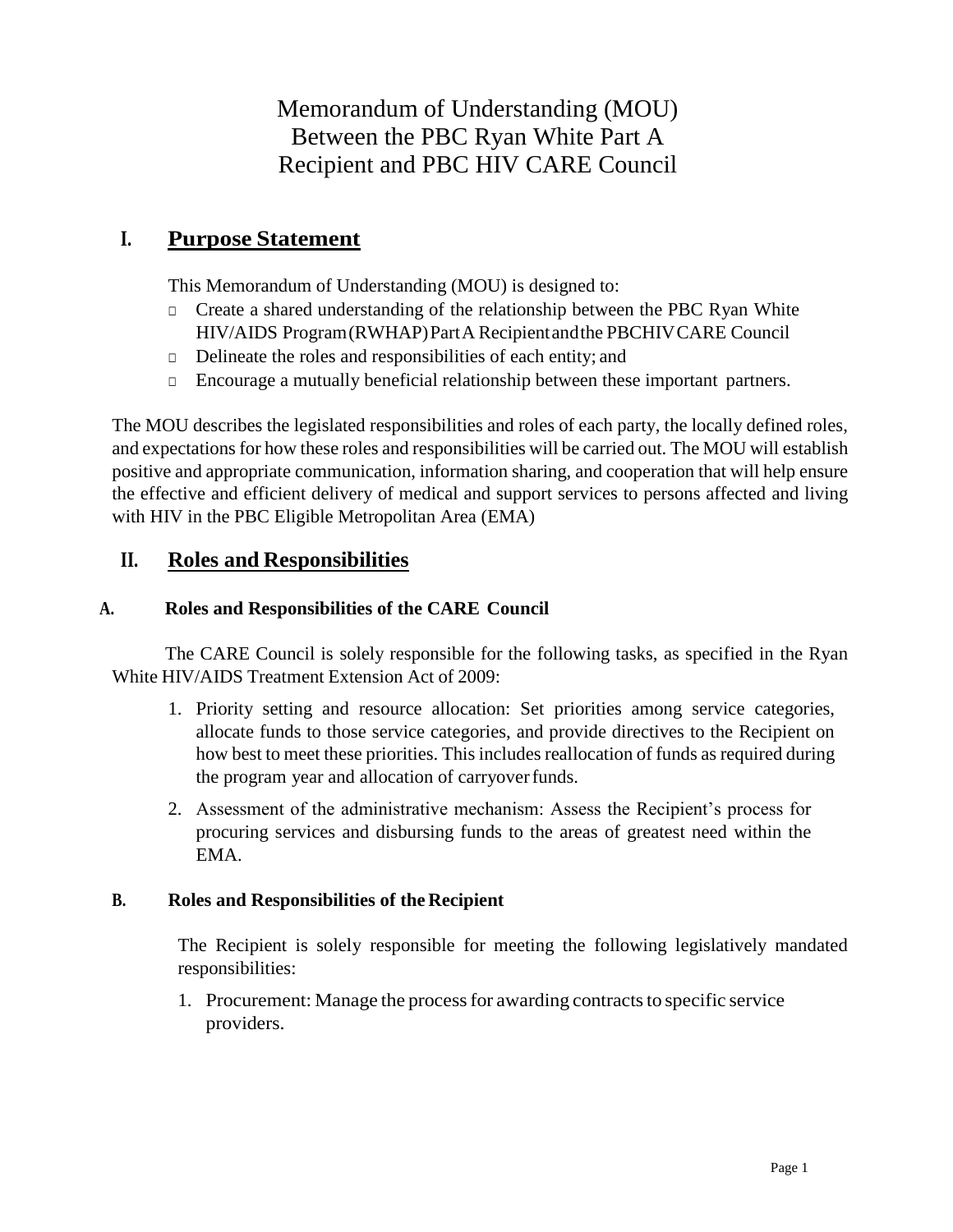Memorandum of Understanding (MOU) Between the PBC Ryan White Part A Recipient and PBC HIV CARE Council

# **I. Purpose Statement**

This Memorandum of Understanding (MOU) is designed to:

- □ Create a shared understanding of the relationship between the PBC Ryan White HIV/AIDS Program(RWHAP)PartA Recipientandthe PBCHIVCARE Council
- □ Delineate the roles and responsibilities of each entity; and
- □ Encourage a mutually beneficial relationship between these important partners.

The MOU describes the legislated responsibilities and roles of each party, the locally defined roles, and expectations for how these roles and responsibilities will be carried out. The MOU will establish positive and appropriate communication, information sharing, and cooperation that will help ensure the effective and efficient delivery of medical and support services to persons affected and living with HIV in the PBC Eligible Metropolitan Area (EMA)

# **II. Roles and Responsibilities**

### **A. Roles and Responsibilities of the CARE Council**

The CARE Council is solely responsible for the following tasks, as specified in the Ryan White HIV/AIDS Treatment Extension Act of 2009:

- 1. Priority setting and resource allocation: Set priorities among service categories, allocate funds to those service categories, and provide directives to the Recipient on how best to meet these priorities. This includes reallocation of funds as required during the program year and allocation of carryoverfunds.
- 2. Assessment of the administrative mechanism: Assess the Recipient's process for procuring services and disbursing funds to the areas of greatest need within the EMA.

### **B. Roles and Responsibilities of the Recipient**

The Recipient is solely responsible for meeting the following legislatively mandated responsibilities:

1. Procurement: Manage the process for awarding contracts to specific service providers.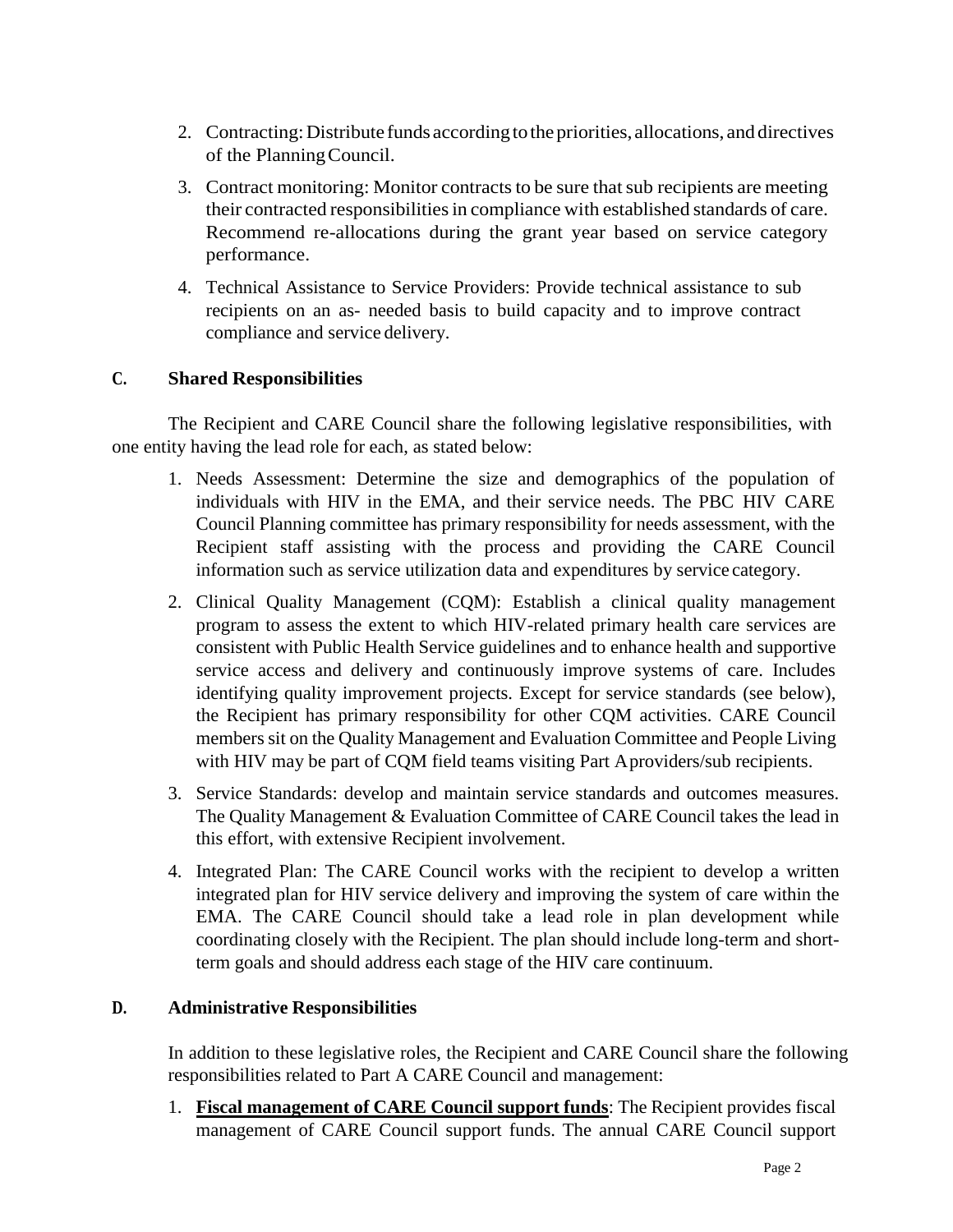- 2. Contracting: Distribute funds according to the priorities, allocations, and directives of the PlanningCouncil.
- 3. Contract monitoring: Monitor contracts to be sure that sub recipients are meeting their contracted responsibilities in compliance with established standards of care. Recommend re-allocations during the grant year based on service category performance.
- 4. Technical Assistance to Service Providers: Provide technical assistance to sub recipients on an as- needed basis to build capacity and to improve contract compliance and service delivery.

### **C. Shared Responsibilities**

The Recipient and CARE Council share the following legislative responsibilities, with one entity having the lead role for each, as stated below:

- 1. Needs Assessment: Determine the size and demographics of the population of individuals with HIV in the EMA, and their service needs. The PBC HIV CARE Council Planning committee has primary responsibility for needs assessment, with the Recipient staff assisting with the process and providing the CARE Council information such as service utilization data and expenditures by service category.
- 2. Clinical Quality Management (CQM): Establish a clinical quality management program to assess the extent to which HIV-related primary health care services are consistent with Public Health Service guidelines and to enhance health and supportive service access and delivery and continuously improve systems of care. Includes identifying quality improvement projects. Except for service standards (see below), the Recipient has primary responsibility for other CQM activities. CARE Council members sit on the Quality Management and Evaluation Committee and People Living with HIV may be part of CQM field teams visiting Part Aproviders/sub recipients.
- 3. Service Standards: develop and maintain service standards and outcomes measures. The Quality Management & Evaluation Committee of CARE Council takes the lead in this effort, with extensive Recipient involvement.
- 4. Integrated Plan: The CARE Council works with the recipient to develop a written integrated plan for HIV service delivery and improving the system of care within the EMA. The CARE Council should take a lead role in plan development while coordinating closely with the Recipient. The plan should include long-term and shortterm goals and should address each stage of the HIV care continuum.

#### **D. Administrative Responsibilities**

In addition to these legislative roles, the Recipient and CARE Council share the following responsibilities related to Part A CARE Council and management:

1. **Fiscal management of CARE Council support funds**: The Recipient provides fiscal management of CARE Council support funds. The annual CARE Council support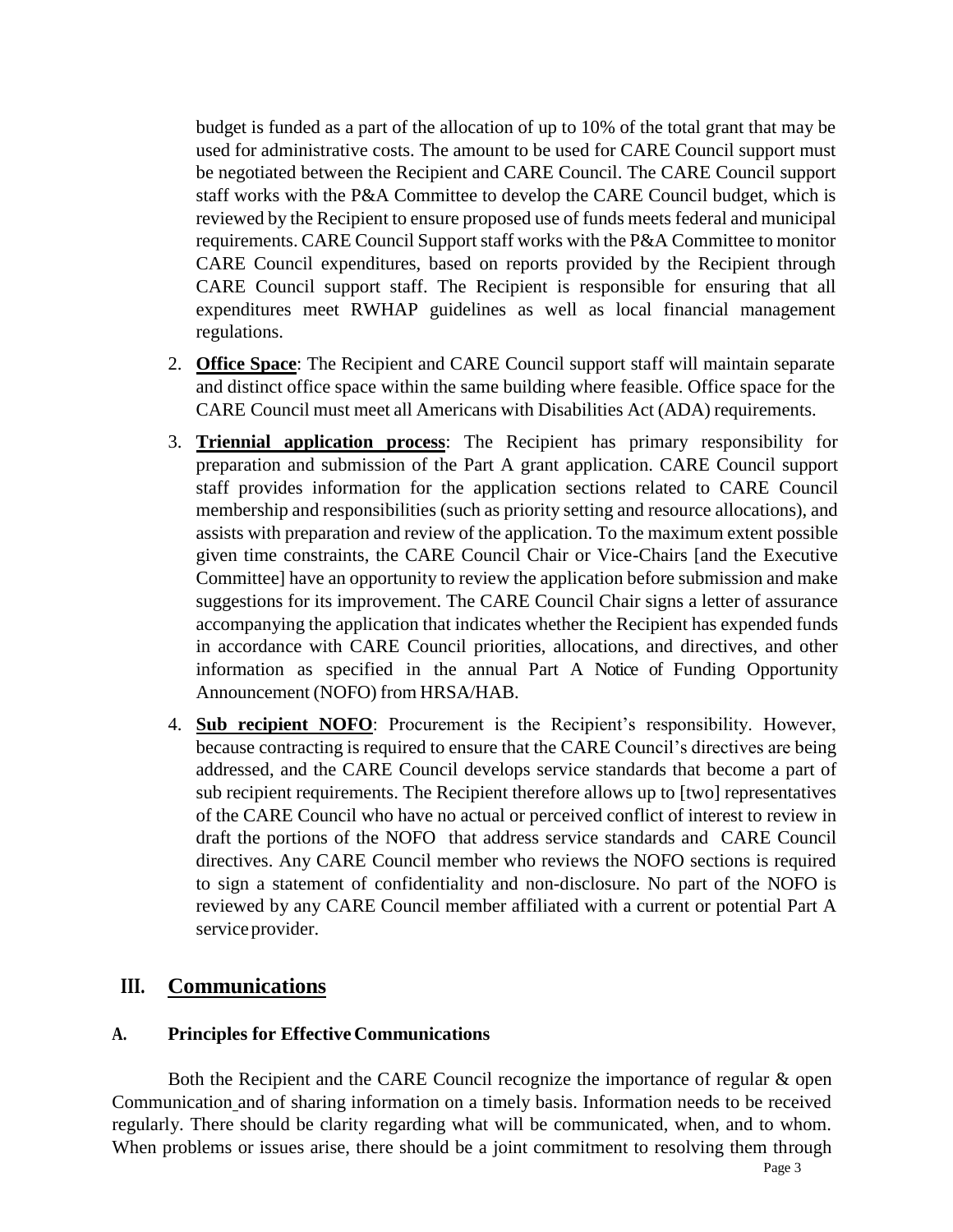budget is funded as a part of the allocation of up to 10% of the total grant that may be used for administrative costs. The amount to be used for CARE Council support must be negotiated between the Recipient and CARE Council. The CARE Council support staff works with the P&A Committee to develop the CARE Council budget, which is reviewed by the Recipient to ensure proposed use of funds meets federal and municipal requirements. CARE Council Support staff works with the P&A Committee to monitor CARE Council expenditures, based on reports provided by the Recipient through CARE Council support staff. The Recipient is responsible for ensuring that all expenditures meet RWHAP guidelines as well as local financial management regulations.

- 2. **Office Space**: The Recipient and CARE Council support staff will maintain separate and distinct office space within the same building where feasible. Office space for the CARE Council must meet all Americans with Disabilities Act (ADA) requirements.
- 3. **Triennial application process**: The Recipient has primary responsibility for preparation and submission of the Part A grant application. CARE Council support staff provides information for the application sections related to CARE Council membership and responsibilities (such as priority setting and resource allocations), and assists with preparation and review of the application. To the maximum extent possible given time constraints, the CARE Council Chair or Vice-Chairs [and the Executive Committee] have an opportunity to review the application before submission and make suggestions for its improvement. The CARE Council Chair signs a letter of assurance accompanying the application that indicates whether the Recipient has expended funds in accordance with CARE Council priorities, allocations, and directives, and other information as specified in the annual Part A Notice of Funding Opportunity Announcement (NOFO) from HRSA/HAB.
- 4. **Sub recipient NOFO**: Procurement is the Recipient's responsibility. However, because contracting is required to ensure that the CARE Council's directives are being addressed, and the CARE Council develops service standards that become a part of sub recipient requirements. The Recipient therefore allows up to [two] representatives of the CARE Council who have no actual or perceived conflict of interest to review in draft the portions of the NOFO that address service standards and CARE Council directives. Any CARE Council member who reviews the NOFO sections is required to sign a statement of confidentiality and non-disclosure. No part of the NOFO is reviewed by any CARE Council member affiliated with a current or potential Part A service provider.

# **III. Communications**

### **A. Principles for Effective Communications**

Both the Recipient and the CARE Council recognize the importance of regular & open Communication and of sharing information on a timely basis. Information needs to be received regularly. There should be clarity regarding what will be communicated, when, and to whom. When problems or issues arise, there should be a joint commitment to resolving them through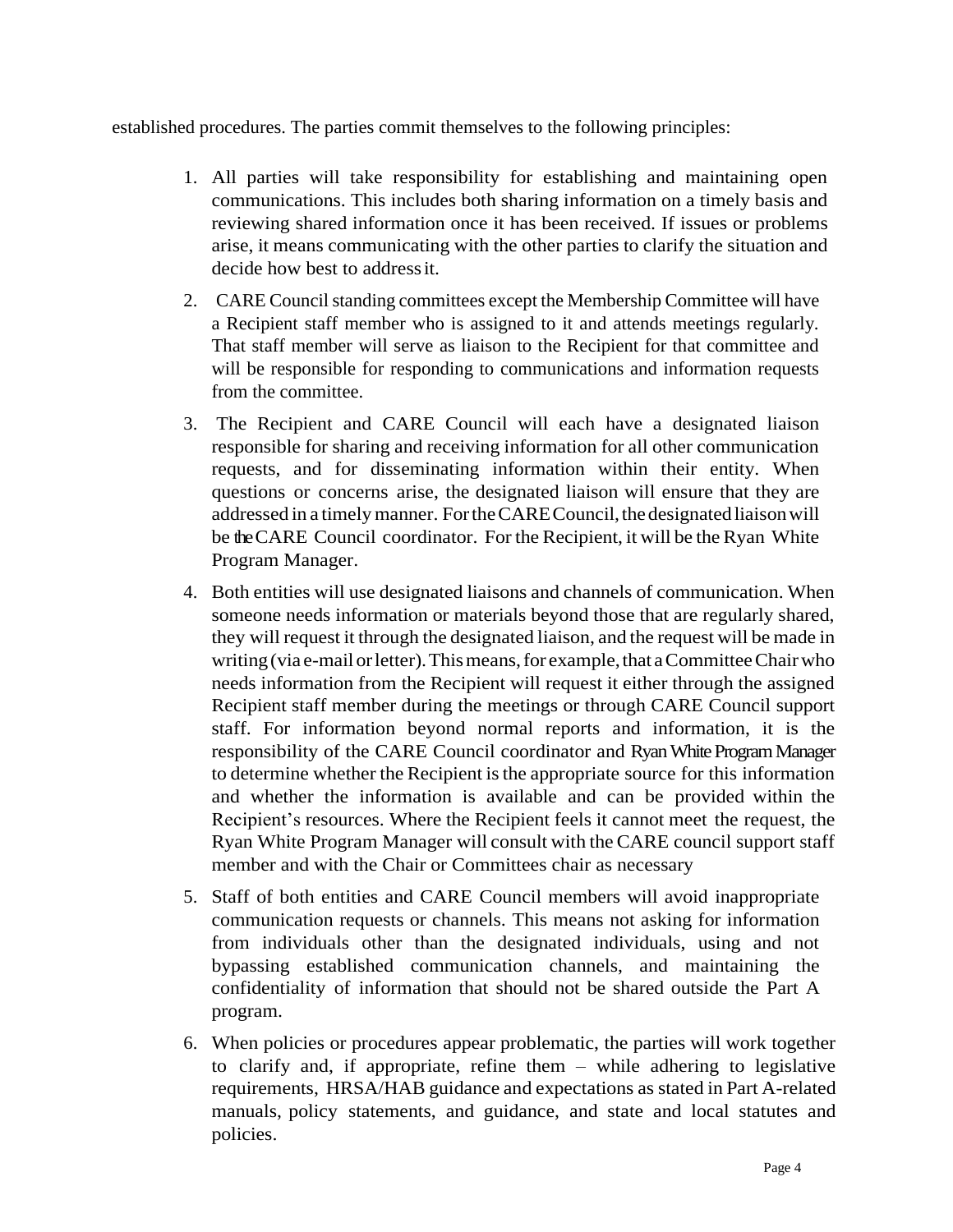established procedures. The parties commit themselves to the following principles:

- 1. All parties will take responsibility for establishing and maintaining open communications. This includes both sharing information on a timely basis and reviewing shared information once it has been received. If issues or problems arise, it means communicating with the other parties to clarify the situation and decide how best to addressit.
- 2. CARE Council standing committees except the Membership Committee will have a Recipient staff member who is assigned to it and attends meetings regularly. That staff member will serve as liaison to the Recipient for that committee and will be responsible for responding to communications and information requests from the committee.
- 3. The Recipient and CARE Council will each have a designated liaison responsible for sharing and receiving information for all other communication requests, and for disseminating information within their entity. When questions or concerns arise, the designated liaison will ensure that they are addressed in a timely manner. For the CARE Council, the designated liaison will be the CARE Council coordinator. For the Recipient, it will be the Ryan White Program Manager.
- 4. Both entities will use designated liaisons and channels of communication. When someone needs information or materials beyond those that are regularly shared, they will request it through the designated liaison, and the request will be made in writing (via e-mail or letter). This means, for example, that a Committee Chair who needs information from the Recipient will request it either through the assigned Recipient staff member during the meetings or through CARE Council support staff. For information beyond normal reports and information, it is the responsibility of the CARE Council coordinator and Ryan White Program Manager to determine whether the Recipient isthe appropriate source for this information and whether the information is available and can be provided within the Recipient's resources. Where the Recipient feels it cannot meet the request, the Ryan White Program Manager will consult with the CARE council support staff member and with the Chair or Committees chair as necessary
- 5. Staff of both entities and CARE Council members will avoid inappropriate communication requests or channels. This means not asking for information from individuals other than the designated individuals, using and not bypassing established communication channels, and maintaining the confidentiality of information that should not be shared outside the Part A program.
- 6. When policies or procedures appear problematic, the parties will work together to clarify and, if appropriate, refine them – while adhering to legislative requirements, HRSA/HAB guidance and expectations as stated in Part A-related manuals, policy statements, and guidance, and state and local statutes and policies.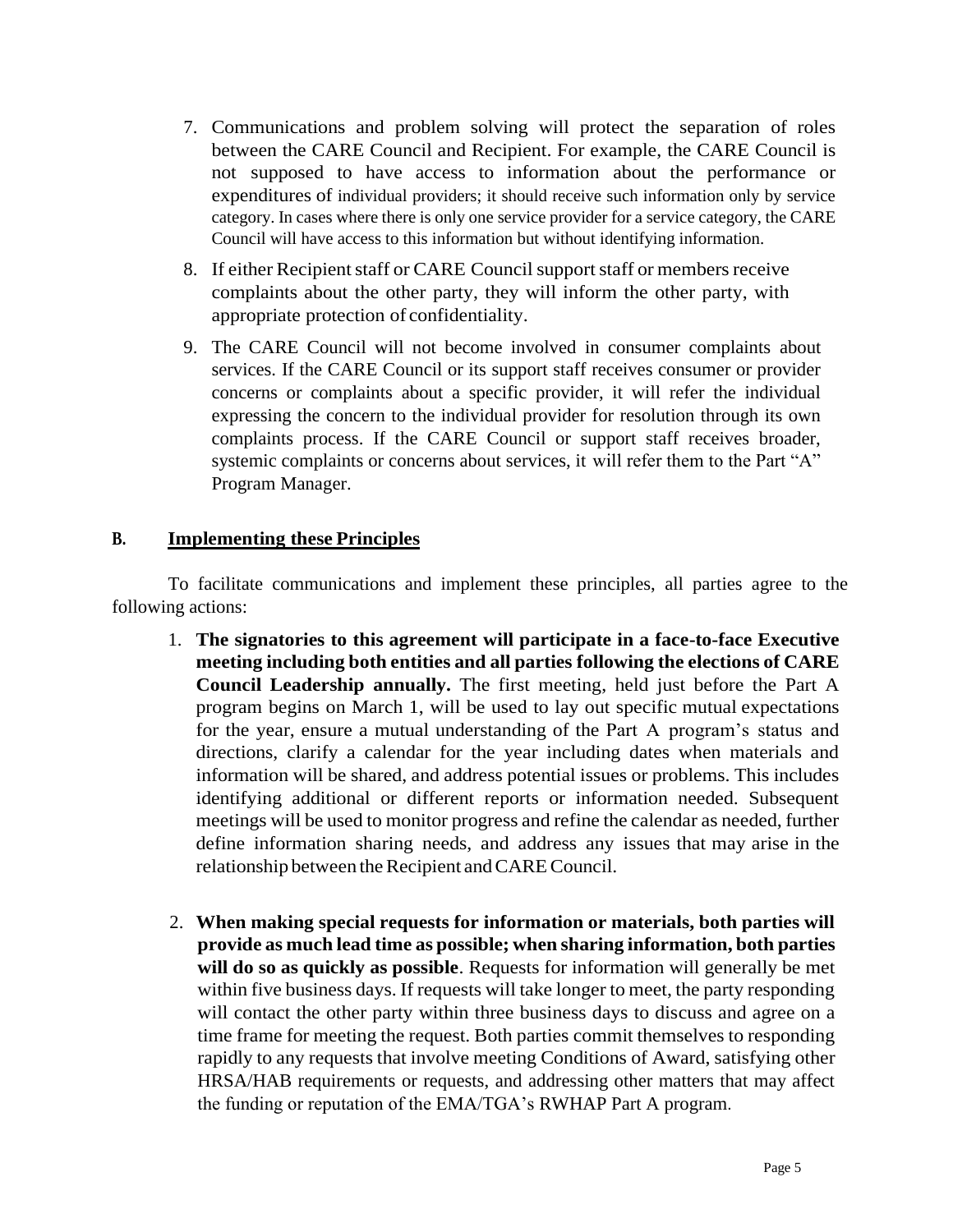- 7. Communications and problem solving will protect the separation of roles between the CARE Council and Recipient. For example, the CARE Council is not supposed to have access to information about the performance or expenditures of individual providers; it should receive such information only by service category. In cases where there is only one service provider for a service category, the CARE Council will have access to this information but without identifying information.
- 8. If either Recipient staff or CARE Council support staff or members receive complaints about the other party, they will inform the other party, with appropriate protection of confidentiality.
- 9. The CARE Council will not become involved in consumer complaints about services. If the CARE Council or its support staff receives consumer or provider concerns or complaints about a specific provider, it will refer the individual expressing the concern to the individual provider for resolution through its own complaints process. If the CARE Council or support staff receives broader, systemic complaints or concerns about services, it will refer them to the Part "A" Program Manager.

#### **B. Implementing these Principles**

To facilitate communications and implement these principles, all parties agree to the following actions:

- 1. **The signatories to this agreement will participate in a face-to-face Executive meeting including both entities and all parties following the elections of CARE Council Leadership annually.** The first meeting, held just before the Part A program begins on March 1, will be used to lay out specific mutual expectations for the year, ensure a mutual understanding of the Part A program's status and directions, clarify a calendar for the year including dates when materials and information will be shared, and address potential issues or problems. This includes identifying additional or different reports or information needed. Subsequent meetings will be used to monitor progress and refine the calendar as needed, further define information sharing needs, and address any issues that may arise in the relationship between the Recipient and CARE Council.
- 2. **When making special requests for information or materials, both parties will provide as much lead time as possible; when sharing information, both parties will do so as quickly as possible**. Requests for information will generally be met within five business days. If requests will take longer to meet, the party responding will contact the other party within three business days to discuss and agree on a time frame for meeting the request. Both parties commit themselves to responding rapidly to any requests that involve meeting Conditions of Award, satisfying other HRSA/HAB requirements or requests, and addressing other matters that may affect the funding or reputation of the EMA/TGA's RWHAP Part A program.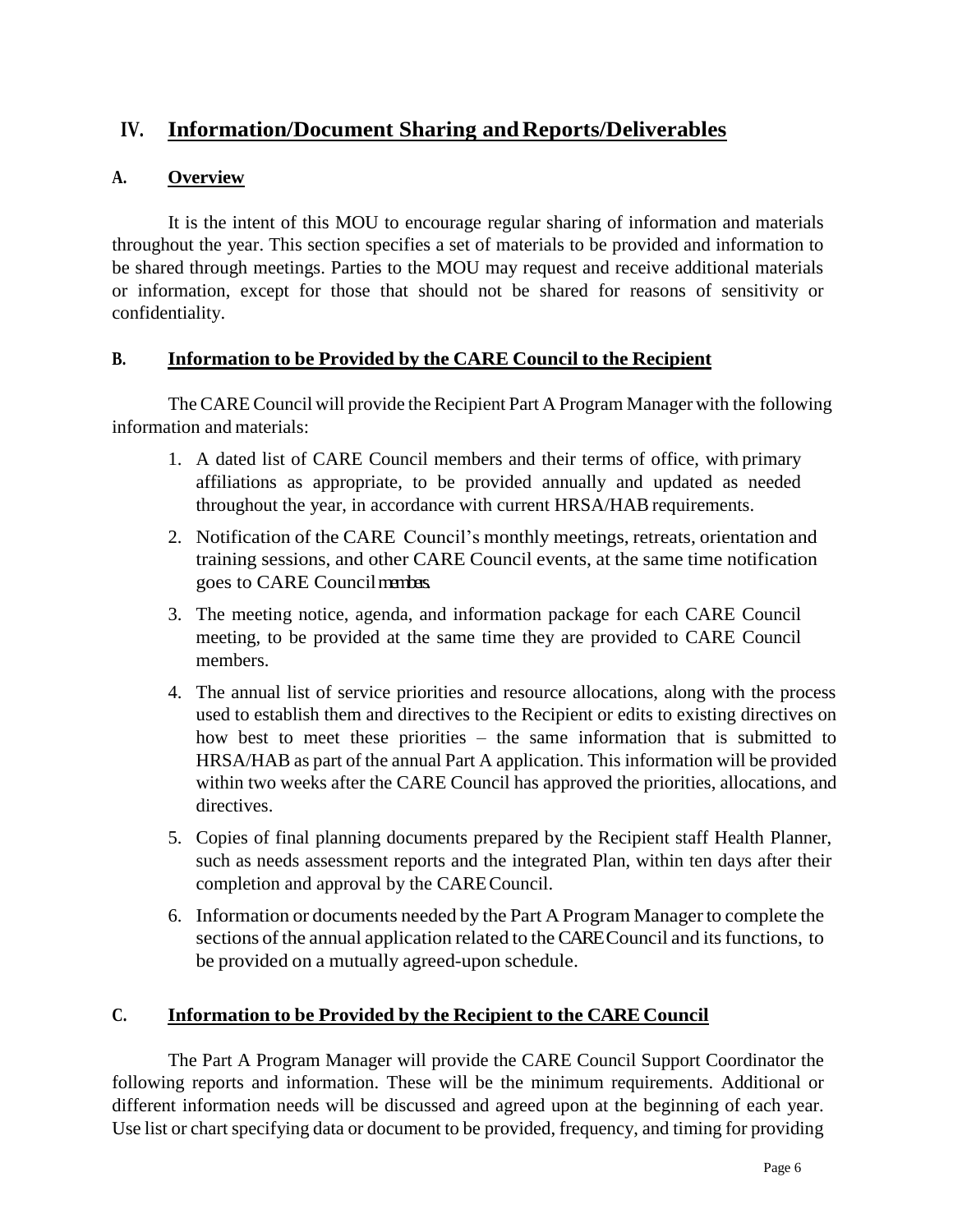# **IV.** Information/Document Sharing and Reports/Deliverables

### **A. Overview**

It is the intent of this MOU to encourage regular sharing of information and materials throughout the year. This section specifies a set of materials to be provided and information to be shared through meetings. Parties to the MOU may request and receive additional materials or information, except for those that should not be shared for reasons of sensitivity or confidentiality.

### **B. Information to be Provided by the CARE Council to the Recipient**

The CARE Council will provide the Recipient Part A Program Manager with the following information and materials:

- 1. A dated list of CARE Council members and their terms of office, with primary affiliations as appropriate, to be provided annually and updated as needed throughout the year, in accordance with current HRSA/HAB requirements.
- 2. Notification of the CARE Council's monthly meetings, retreats, orientation and training sessions, and other CARE Council events, at the same time notification goes to CARE Councilmembers.
- 3. The meeting notice, agenda, and information package for each CARE Council meeting, to be provided at the same time they are provided to CARE Council members.
- 4. The annual list of service priorities and resource allocations, along with the process used to establish them and directives to the Recipient or edits to existing directives on how best to meet these priorities – the same information that is submitted to HRSA/HAB as part of the annual Part A application. This information will be provided within two weeks after the CARE Council has approved the priorities, allocations, and directives.
- 5. Copies of final planning documents prepared by the Recipient staff Health Planner, such as needs assessment reports and the integrated Plan, within ten days after their completion and approval by the CARECouncil.
- 6. Information or documents needed by the Part A Program Managerto complete the sections of the annual application related to the CARE Council and its functions, to be provided on a mutually agreed-upon schedule.

### **C. Information to be Provided by the Recipient to the CARE Council**

The Part A Program Manager will provide the CARE Council Support Coordinator the following reports and information. These will be the minimum requirements. Additional or different information needs will be discussed and agreed upon at the beginning of each year. Use list or chart specifying data or document to be provided, frequency, and timing for providing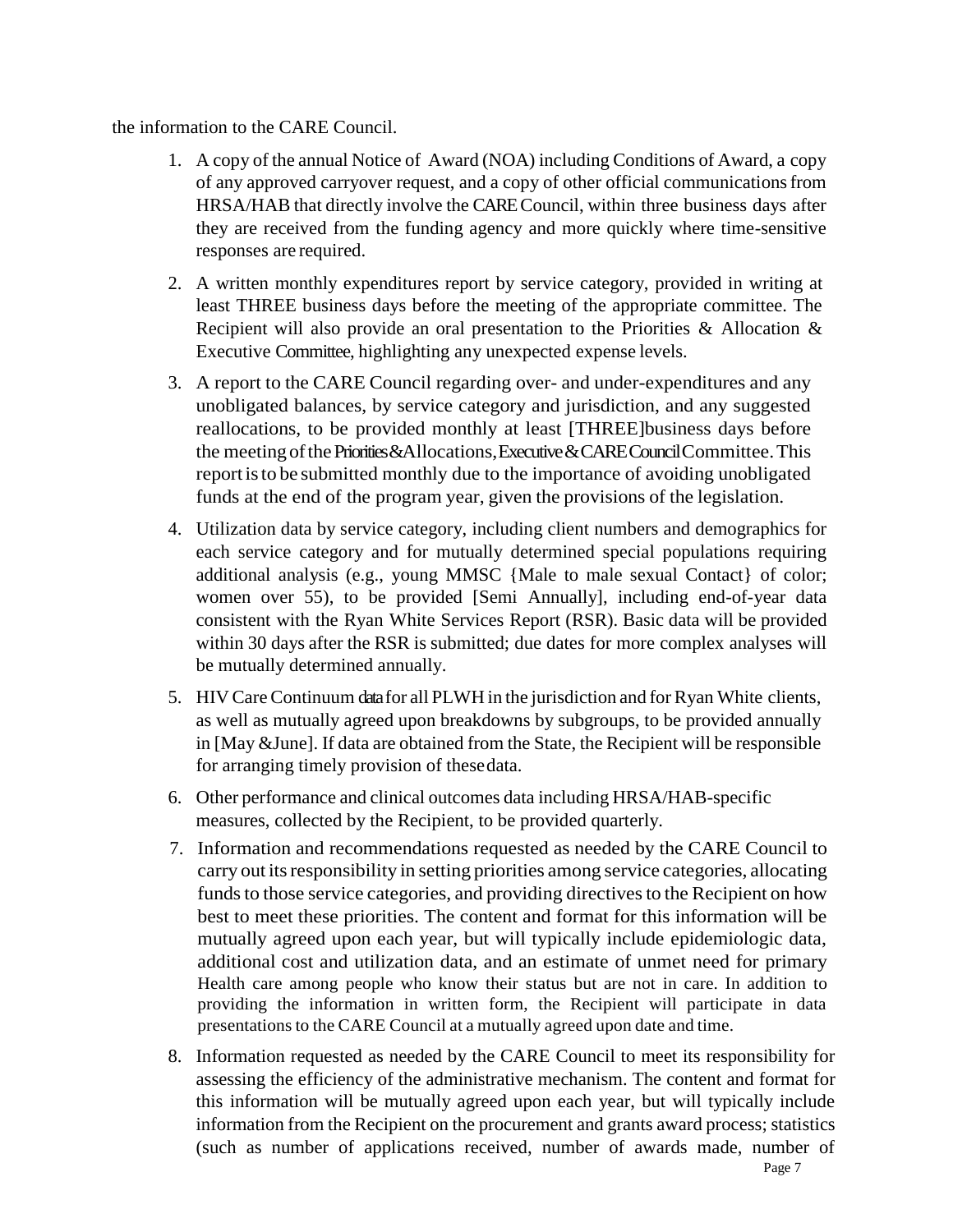the information to the CARE Council.

- 1. A copy of the annual Notice of Award (NOA) including Conditions of Award, a copy of any approved carryover request, and a copy of other official communicationsfrom HRSA/HAB that directly involve the CARE Council, within three business days after they are received from the funding agency and more quickly where time-sensitive responses are required.
- 2. A written monthly expenditures report by service category, provided in writing at least THREE business days before the meeting of the appropriate committee. The Recipient will also provide an oral presentation to the Priorities & Allocation & Executive Committee, highlighting any unexpected expense levels.
- 3. A report to the CARE Council regarding over- and under-expenditures and any unobligated balances, by service category and jurisdiction, and any suggested reallocations, to be provided monthly at least [THREE]business days before the meeting of the Priorities & Allocations, Executive & CARE Council Committee. This reportisto be submitted monthly due to the importance of avoiding unobligated funds at the end of the program year, given the provisions of the legislation.
- 4. Utilization data by service category, including client numbers and demographics for each service category and for mutually determined special populations requiring additional analysis (e.g., young MMSC {Male to male sexual Contact} of color; women over 55), to be provided [Semi Annually], including end-of-year data consistent with the Ryan White Services Report (RSR). Basic data will be provided within 30 days after the RSR is submitted; due dates for more complex analyses will be mutually determined annually.
- 5. HIV CareContinuum datafor all PLWH in the jurisdiction and forRyan White clients, as well as mutually agreed upon breakdowns by subgroups, to be provided annually in [May &June]. If data are obtained from the State, the Recipient will be responsible for arranging timely provision of thesedata.
- 6. Other performance and clinical outcomes data including HRSA/HAB-specific measures, collected by the Recipient, to be provided quarterly.
- 7. Information and recommendations requested as needed by the CARE Council to carry out its responsibility in setting priorities among service categories, allocating funds to those service categories, and providing directives to the Recipient on how best to meet these priorities. The content and format for this information will be mutually agreed upon each year, but will typically include epidemiologic data, additional cost and utilization data, and an estimate of unmet need for primary Health care among people who know their status but are not in care. In addition to providing the information in written form, the Recipient will participate in data presentations to the CARE Council at a mutually agreed upon date and time.
- 8. Information requested as needed by the CARE Council to meet its responsibility for assessing the efficiency of the administrative mechanism. The content and format for this information will be mutually agreed upon each year, but will typically include information from the Recipient on the procurement and grants award process; statistics (such as number of applications received, number of awards made, number of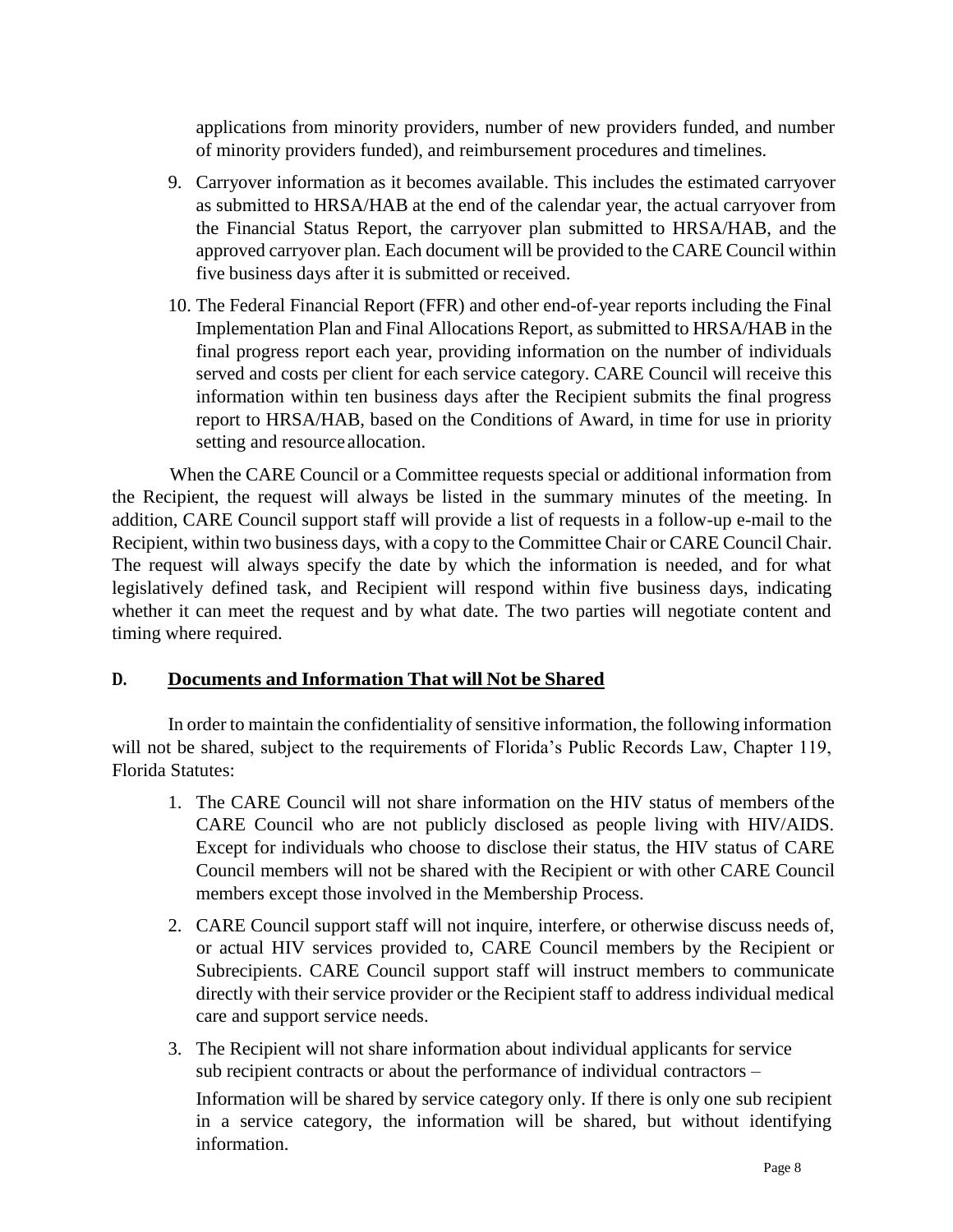applications from minority providers, number of new providers funded, and number of minority providers funded), and reimbursement procedures and timelines.

- 9. Carryover information as it becomes available. This includes the estimated carryover as submitted to HRSA/HAB at the end of the calendar year, the actual carryover from the Financial Status Report, the carryover plan submitted to HRSA/HAB, and the approved carryover plan. Each document will be provided to the CARE Council within five business days after it is submitted or received.
- 10. The Federal Financial Report (FFR) and other end-of-year reports including the Final Implementation Plan and Final Allocations Report, as submitted to HRSA/HAB in the final progress report each year, providing information on the number of individuals served and costs per client for each service category. CARE Council will receive this information within ten business days after the Recipient submits the final progress report to HRSA/HAB, based on the Conditions of Award, in time for use in priority setting and resource allocation.

When the CARE Council or a Committee requests special or additional information from the Recipient, the request will always be listed in the summary minutes of the meeting. In addition, CARE Council support staff will provide a list of requests in a follow-up e-mail to the Recipient, within two business days, with a copy to the Committee Chair or CARE Council Chair. The request will always specify the date by which the information is needed, and for what legislatively defined task, and Recipient will respond within five business days, indicating whether it can meet the request and by what date. The two parties will negotiate content and timing where required.

#### **D. Documents and Information That will Not be Shared**

In order to maintain the confidentiality of sensitive information, the following information will not be shared, subject to the requirements of Florida's Public Records Law, Chapter 119, Florida Statutes:

- 1. The CARE Council will not share information on the HIV status of members ofthe CARE Council who are not publicly disclosed as people living with HIV/AIDS. Except for individuals who choose to disclose their status, the HIV status of CARE Council members will not be shared with the Recipient or with other CARE Council members except those involved in the Membership Process.
- 2. CARE Council support staff will not inquire, interfere, or otherwise discuss needs of, or actual HIV services provided to, CARE Council members by the Recipient or Subrecipients. CARE Council support staff will instruct members to communicate directly with their service provider or the Recipient staff to address individual medical care and support service needs.
- 3. The Recipient will not share information about individual applicants for service sub recipient contracts or about the performance of individual contractors –

Information will be shared by service category only. If there is only one sub recipient in a service category, the information will be shared, but without identifying information.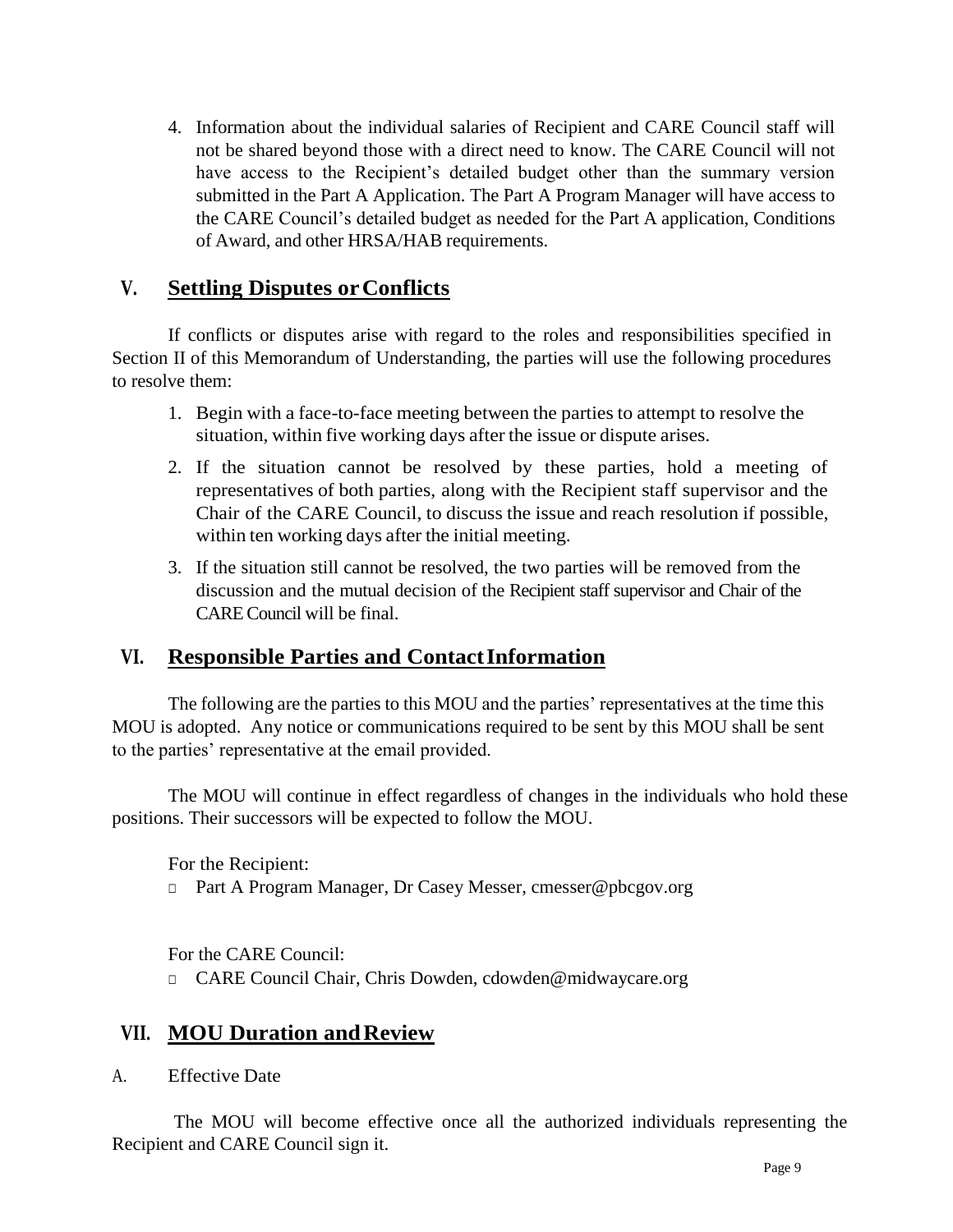4. Information about the individual salaries of Recipient and CARE Council staff will not be shared beyond those with a direct need to know. The CARE Council will not have access to the Recipient's detailed budget other than the summary version submitted in the Part A Application. The Part A Program Manager will have access to the CARE Council's detailed budget as needed for the Part A application, Conditions of Award, and other HRSA/HAB requirements.

# **V. Settling Disputes orConflicts**

If conflicts or disputes arise with regard to the roles and responsibilities specified in Section II of this Memorandum of Understanding, the parties will use the following procedures to resolve them:

- 1. Begin with a face-to-face meeting between the parties to attempt to resolve the situation, within five working days after the issue or dispute arises.
- 2. If the situation cannot be resolved by these parties, hold a meeting of representatives of both parties, along with the Recipient staff supervisor and the Chair of the CARE Council, to discuss the issue and reach resolution if possible, within ten working days after the initial meeting.
- 3. If the situation still cannot be resolved, the two parties will be removed from the discussion and the mutual decision of the Recipient staff supervisor and Chair of the CARE Council will be final.

# **VI. Responsible Parties and ContactInformation**

The following are the parties to this MOU and the parties' representatives at the time this MOU is adopted. Any notice or communications required to be sent by this MOU shall be sent to the parties' representative at the email provided.

The MOU will continue in effect regardless of changes in the individuals who hold these positions. Their successors will be expected to follow the MOU.

For the Recipient:

□ Part A Program Manager, Dr Casey Messer, cmesser@pbcgov.org

For the CARE Council:

□ CARE Council Chair, Chris Dowden, cdowden@midwaycare.org

### **VII. MOU Duration andReview**

A. Effective Date

The MOU will become effective once all the authorized individuals representing the Recipient and CARE Council sign it.